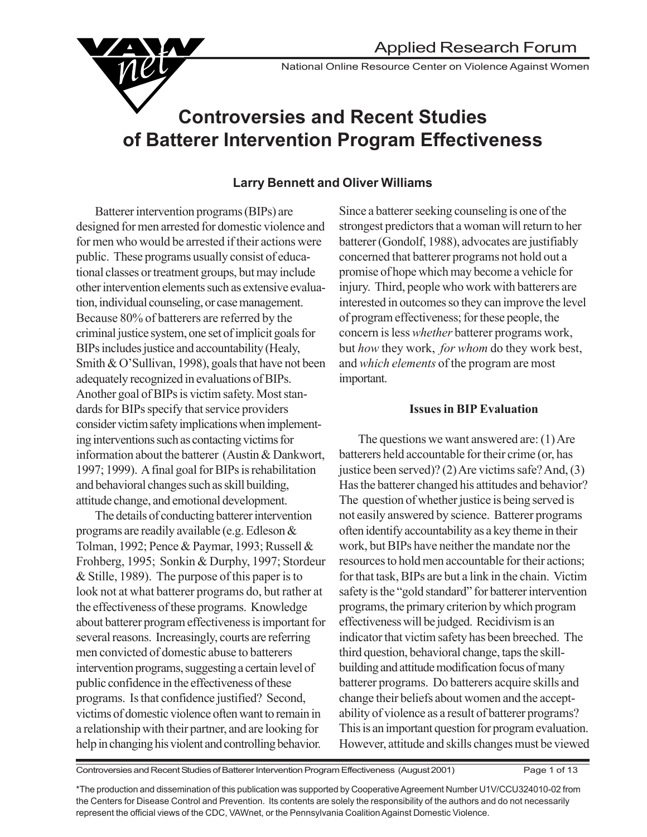National Online Resource Center on Violence Against Women

# **Controversies and Recent Studies of Batterer Intervention Program Effectiveness**

#### **Larry Bennett and Oliver Williams**

Batterer intervention programs (BIPs) are designed for men arrested for domestic violence and for men who would be arrested if their actions were public. These programs usually consist of educational classes or treatment groups, but may include other intervention elements such as extensive evaluation, individual counseling, or case management. Because 80% of batterers are referred by the criminal justice system, one set of implicit goals for BIPs includes justice and accountability (Healy, Smith & O'Sullivan, 1998), goals that have not been adequately recognized in evaluations of BIPs. Another goal of BIPs is victim safety. Most standards for BIPs specify that service providers consider victim safety implications when implementing interventions such as contacting victims for information about the batterer (Austin & Dankwort, 1997; 1999). A final goal for BIPs is rehabilitation and behavioral changes such as skill building, attitude change, and emotional development.

The details of conducting batterer intervention programs are readily available (e.g. Edleson & Tolman, 1992; Pence & Paymar, 1993; Russell & Frohberg, 1995; Sonkin & Durphy, 1997; Stordeur & Stille, 1989). The purpose of this paper is to look not at what batterer programs do, but rather at the effectiveness of these programs. Knowledge about batterer program effectiveness is important for several reasons. Increasingly, courts are referring men convicted of domestic abuse to batterers intervention programs, suggesting a certain level of public confidence in the effectiveness of these programs. Is that confidence justified? Second, victims of domestic violence often want to remain in a relationship with their partner, and are looking for help in changing his violent and controlling behavior.

Since a batterer seeking counseling is one of the strongest predictors that a woman will return to her batterer (Gondolf, 1988), advocates are justifiably concerned that batterer programs not hold out a promise of hope which may become a vehicle for injury. Third, people who work with batterers are interested in outcomes so they can improve the level of program effectiveness; for these people, the concern is less *whether* batterer programs work, but *how* they work, *for whom* do they work best, and *which elements* of the program are most important.

#### **Issues in BIP Evaluation**

The questions we want answered are: (1) Are batterers held accountable for their crime (or, has justice been served)? (2) Are victims safe? And, (3) Has the batterer changed his attitudes and behavior? The question of whether justice is being served is not easily answered by science. Batterer programs often identify accountability as a key theme in their work, but BIPs have neither the mandate nor the resources to hold men accountable for their actions; for that task, BIPs are but a link in the chain. Victim safety is the "gold standard" for batterer intervention programs, the primary criterion by which program effectiveness will be judged. Recidivism is an indicator that victim safety has been breeched. The third question, behavioral change, taps the skillbuilding and attitude modification focus of many batterer programs. Do batterers acquire skills and change their beliefs about women and the acceptability of violence as a result of batterer programs? This is an important question for program evaluation. However, attitude and skills changes must be viewed

Controversies and Recent Studies of Batterer Intervention Program Effectiveness (August 2001) Page 1 of 13

\*The production and dissemination of this publication was supported by Cooperative Agreement Number U1V/CCU324010-02 from the Centers for Disease Control and Prevention. Its contents are solely the responsibility of the authors and do not necessarily represent the official views of the CDC, VAWnet, or the Pennsylvania Coalition Against Domestic Violence.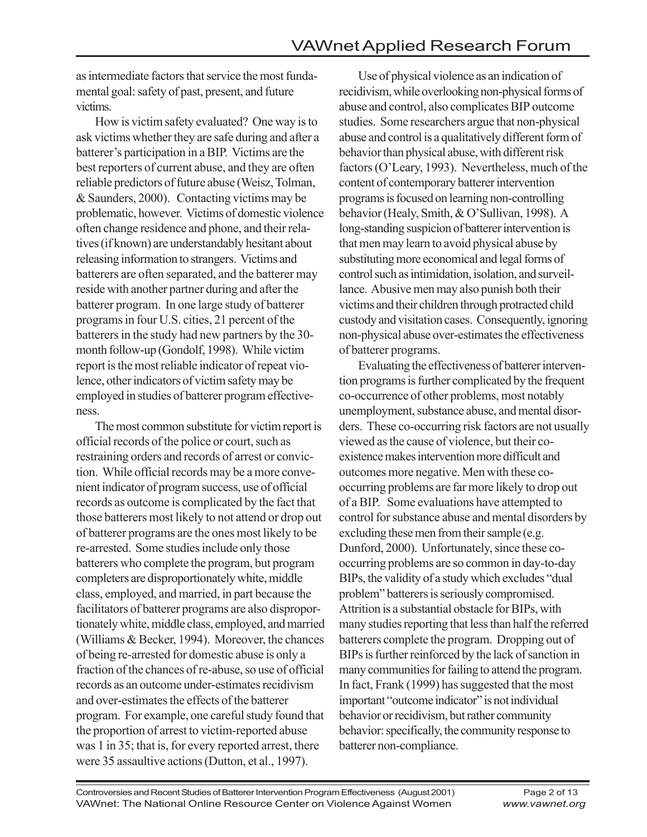as intermediate factors that service the most fundamental goal: safety of past, present, and future victims.

How is victim safety evaluated? One way is to ask victims whether they are safe during and after a batterer's participation in a BIP. Victims are the best reporters of current abuse, and they are often reliable predictors of future abuse (Weisz, Tolman, & Saunders, 2000). Contacting victims may be problematic, however. Victims of domestic violence often change residence and phone, and their relatives (if known) are understandably hesitant about releasing information to strangers. Victims and batterers are often separated, and the batterer may reside with another partner during and after the batterer program. In one large study of batterer programs in four U.S. cities, 21 percent of the batterers in the study had new partners by the 30 month follow-up (Gondolf, 1998). While victim report is the most reliable indicator of repeat violence, other indicators of victim safety may be employed in studies of batterer program effectiveness.

The most common substitute for victim report is official records of the police or court, such as restraining orders and records of arrest or conviction. While official records may be a more convenient indicator of program success, use of official records as outcome is complicated by the fact that those batterers most likely to not attend or drop out of batterer programs are the ones most likely to be re-arrested. Some studies include only those batterers who complete the program, but program completers are disproportionately white, middle class, employed, and married, in part because the facilitators of batterer programs are also disproportionately white, middle class, employed, and married (Williams & Becker, 1994). Moreover, the chances of being re-arrested for domestic abuse is only a fraction of the chances of re-abuse, so use of official records as an outcome under-estimates recidivism and over-estimates the effects of the batterer program. For example, one careful study found that the proportion of arrest to victim-reported abuse was 1 in 35; that is, for every reported arrest, there were 35 assaultive actions (Dutton, et al., 1997).

Use of physical violence as an indication of recidivism, while overlooking non-physical forms of abuse and control, also complicates BIP outcome studies. Some researchers argue that non-physical abuse and control is a qualitatively different form of behavior than physical abuse, with different risk factors (O'Leary, 1993). Nevertheless, much of the content of contemporary batterer intervention programs is focused on learning non-controlling behavior (Healy, Smith, & O'Sullivan, 1998). A long-standing suspicion of batterer intervention is that men may learn to avoid physical abuse by substituting more economical and legal forms of control such as intimidation, isolation, and surveillance. Abusive men may also punish both their victims and their children through protracted child custody and visitation cases. Consequently, ignoring non-physical abuse over-estimates the effectiveness of batterer programs.

Evaluating the effectiveness of batterer intervention programs is further complicated by the frequent co-occurrence of other problems, most notably unemployment, substance abuse, and mental disorders. These co-occurring risk factors are not usually viewed as the cause of violence, but their coexistence makes intervention more difficult and outcomes more negative. Men with these cooccurring problems are far more likely to drop out of a BIP. Some evaluations have attempted to control for substance abuse and mental disorders by excluding these men from their sample (e.g. Dunford, 2000). Unfortunately, since these cooccurring problems are so common in day-to-day BIPs, the validity of a study which excludes "dual problem" batterers is seriously compromised. Attrition is a substantial obstacle for BIPs, with many studies reporting that less than half the referred batterers complete the program. Dropping out of BIPs is further reinforced by the lack of sanction in many communities for failing to attend the program. In fact, Frank (1999) has suggested that the most important "outcome indicator" is not individual behavior or recidivism, but rather community behavior: specifically, the community response to batterer non-compliance.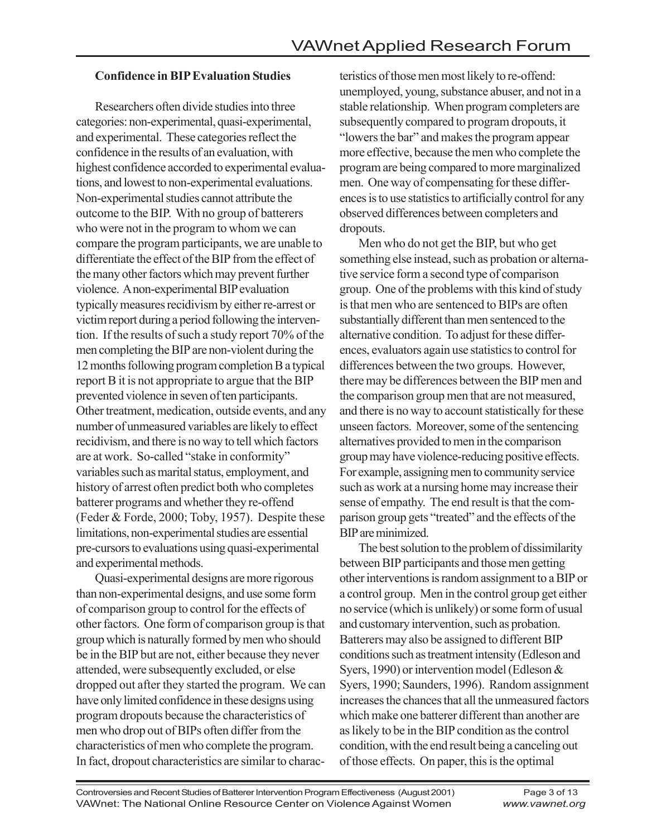### **Confidence in BIP Evaluation Studies**

Researchers often divide studies into three categories: non-experimental, quasi-experimental, and experimental. These categories reflect the confidence in the results of an evaluation, with highest confidence accorded to experimental evaluations, and lowest to non-experimental evaluations. Non-experimental studies cannot attribute the outcome to the BIP. With no group of batterers who were not in the program to whom we can compare the program participants, we are unable to differentiate the effect of the BIP from the effect of the many other factors which may prevent further violence. A non-experimental BIP evaluation typically measures recidivism by either re-arrest or victim report during a period following the intervention. If the results of such a study report 70% of the men completing the BIP are non-violent during the 12 months following program completion B a typical report B it is not appropriate to argue that the BIP prevented violence in seven of ten participants. Other treatment, medication, outside events, and any number of unmeasured variables are likely to effect recidivism, and there is no way to tell which factors are at work. So-called "stake in conformity" variables such as marital status, employment, and history of arrest often predict both who completes batterer programs and whether they re-offend (Feder & Forde, 2000; Toby, 1957). Despite these limitations, non-experimental studies are essential pre-cursors to evaluations using quasi-experimental and experimental methods.

Quasi-experimental designs are more rigorous than non-experimental designs, and use some form of comparison group to control for the effects of other factors. One form of comparison group is that group which is naturally formed by men who should be in the BIP but are not, either because they never attended, were subsequently excluded, or else dropped out after they started the program. We can have only limited confidence in these designs using program dropouts because the characteristics of men who drop out of BIPs often differ from the characteristics of men who complete the program. In fact, dropout characteristics are similar to charac-

teristics of those men most likely to re-offend: unemployed, young, substance abuser, and not in a stable relationship. When program completers are subsequently compared to program dropouts, it "lowers the bar" and makes the program appear more effective, because the men who complete the program are being compared to more marginalized men. One way of compensating for these differences is to use statistics to artificially control for any observed differences between completers and dropouts.

Men who do not get the BIP, but who get something else instead, such as probation or alternative service form a second type of comparison group. One of the problems with this kind of study is that men who are sentenced to BIPs are often substantially different than men sentenced to the alternative condition. To adjust for these differences, evaluators again use statistics to control for differences between the two groups. However, there may be differences between the BIP men and the comparison group men that are not measured, and there is no way to account statistically for these unseen factors. Moreover, some of the sentencing alternatives provided to men in the comparison group may have violence-reducing positive effects. For example, assigning men to community service such as work at a nursing home may increase their sense of empathy. The end result is that the comparison group gets "treated" and the effects of the BIP are minimized.

The best solution to the problem of dissimilarity between BIP participants and those men getting other interventions is random assignment to a BIP or a control group. Men in the control group get either no service (which is unlikely) or some form of usual and customary intervention, such as probation. Batterers may also be assigned to different BIP conditions such as treatment intensity (Edleson and Syers, 1990) or intervention model (Edleson & Syers, 1990; Saunders, 1996). Random assignment increases the chances that all the unmeasured factors which make one batterer different than another are as likely to be in the BIP condition as the control condition, with the end result being a canceling out of those effects. On paper, this is the optimal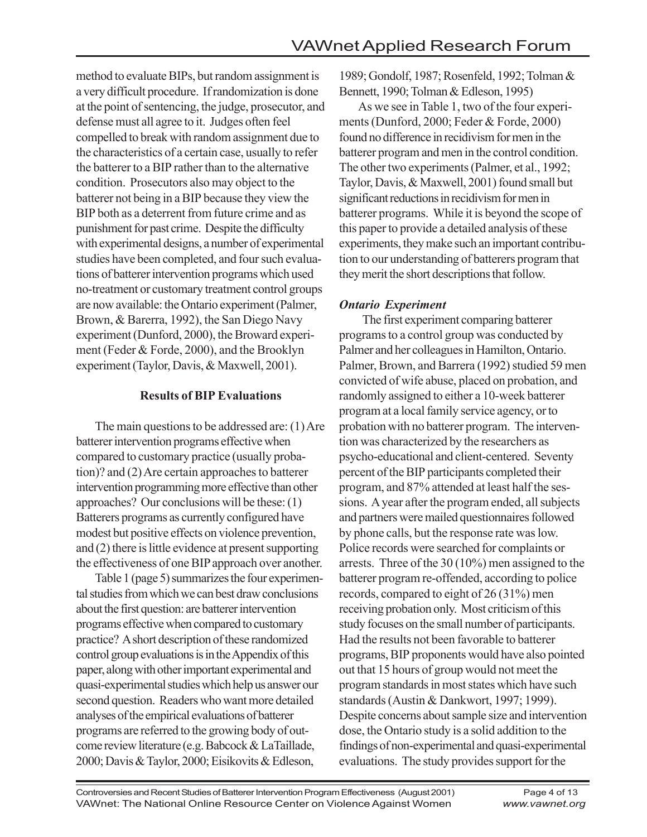method to evaluate BIPs, but random assignment is a very difficult procedure. If randomization is done at the point of sentencing, the judge, prosecutor, and defense must all agree to it. Judges often feel compelled to break with random assignment due to the characteristics of a certain case, usually to refer the batterer to a BIP rather than to the alternative condition. Prosecutors also may object to the batterer not being in a BIP because they view the BIP both as a deterrent from future crime and as punishment for past crime. Despite the difficulty with experimental designs, a number of experimental studies have been completed, and four such evaluations of batterer intervention programs which used no-treatment or customary treatment control groups are now available: the Ontario experiment (Palmer, Brown, & Barerra, 1992), the San Diego Navy experiment (Dunford, 2000), the Broward experiment (Feder & Forde, 2000), and the Brooklyn experiment (Taylor, Davis, & Maxwell, 2001).

#### **Results of BIP Evaluations**

The main questions to be addressed are: (1) Are batterer intervention programs effective when compared to customary practice (usually probation)? and (2) Are certain approaches to batterer intervention programming more effective than other approaches? Our conclusions will be these: (1) Batterers programs as currently configured have modest but positive effects on violence prevention, and (2) there is little evidence at present supporting the effectiveness of one BIP approach over another.

Table 1 (page 5) summarizes the four experimental studies from which we can best draw conclusions about the first question: are batterer intervention programs effective when compared to customary practice? A short description of these randomized control group evaluations is in the Appendix of this paper, along with other important experimental and quasi-experimental studies which help us answer our second question. Readers who want more detailed analyses of the empirical evaluations of batterer programs are referred to the growing body of outcome review literature (e.g. Babcock & LaTaillade, 2000; Davis & Taylor, 2000; Eisikovits & Edleson,

1989; Gondolf, 1987; Rosenfeld, 1992; Tolman & Bennett, 1990; Tolman & Edleson, 1995)

As we see in Table 1, two of the four experiments (Dunford, 2000; Feder & Forde, 2000) found no difference in recidivism for men in the batterer program and men in the control condition. The other two experiments (Palmer, et al., 1992; Taylor, Davis, & Maxwell, 2001) found small but significant reductions in recidivism for men in batterer programs. While it is beyond the scope of this paper to provide a detailed analysis of these experiments, they make such an important contribution to our understanding of batterers program that they merit the short descriptions that follow.

#### *Ontario Experiment*

 The first experiment comparing batterer programs to a control group was conducted by Palmer and her colleagues in Hamilton, Ontario. Palmer, Brown, and Barrera (1992) studied 59 men convicted of wife abuse, placed on probation, and randomly assigned to either a 10-week batterer program at a local family service agency, or to probation with no batterer program. The intervention was characterized by the researchers as psycho-educational and client-centered. Seventy percent of the BIP participants completed their program, and 87% attended at least half the sessions. A year after the program ended, all subjects and partners were mailed questionnaires followed by phone calls, but the response rate was low. Police records were searched for complaints or arrests. Three of the 30 (10%) men assigned to the batterer program re-offended, according to police records, compared to eight of 26 (31%) men receiving probation only. Most criticism of this study focuses on the small number of participants. Had the results not been favorable to batterer programs, BIP proponents would have also pointed out that 15 hours of group would not meet the program standards in most states which have such standards (Austin & Dankwort, 1997; 1999). Despite concerns about sample size and intervention dose, the Ontario study is a solid addition to the findings of non-experimental and quasi-experimental evaluations. The study provides support for the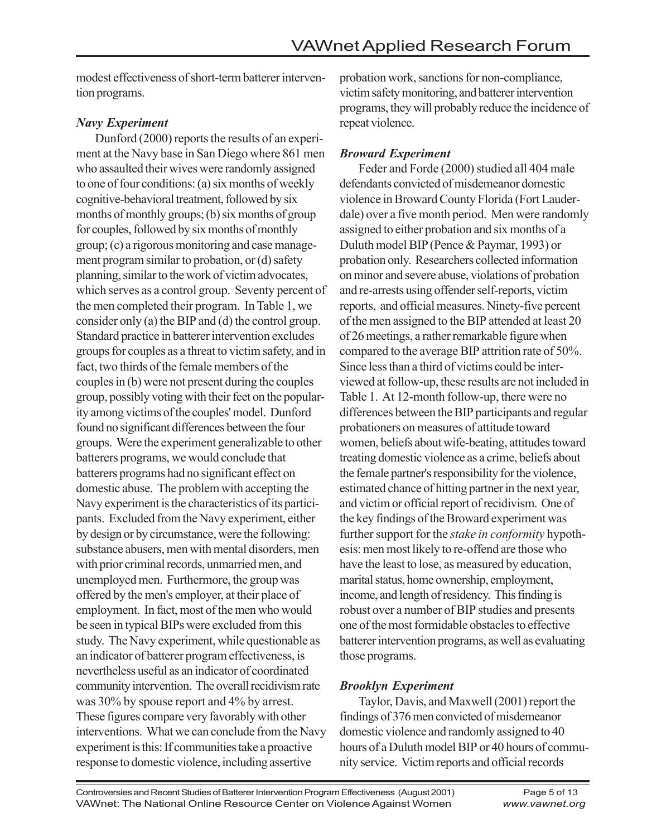modest effectiveness of short-term batterer intervention programs.

## *Navy Experiment*

Dunford (2000) reports the results of an experiment at the Navy base in San Diego where 861 men who assaulted their wives were randomly assigned to one of four conditions: (a) six months of weekly cognitive-behavioral treatment, followed by six months of monthly groups; (b) six months of group for couples, followed by six months of monthly group; (c) a rigorous monitoring and case management program similar to probation, or (d) safety planning, similar to the work of victim advocates, which serves as a control group. Seventy percent of the men completed their program. In Table 1, we consider only (a) the BIP and (d) the control group. Standard practice in batterer intervention excludes groups for couples as a threat to victim safety, and in fact, two thirds of the female members of the couples in (b) were not present during the couples group, possibly voting with their feet on the popularity among victims of the couples' model. Dunford found no significant differences between the four groups. Were the experiment generalizable to other batterers programs, we would conclude that batterers programs had no significant effect on domestic abuse. The problem with accepting the Navy experiment is the characteristics of its participants. Excluded from the Navy experiment, either by design or by circumstance, were the following: substance abusers, men with mental disorders, men with prior criminal records, unmarried men, and unemployed men. Furthermore, the group was offered by the men's employer, at their place of employment. In fact, most of the men who would be seen in typical BIPs were excluded from this study. The Navy experiment, while questionable as an indicator of batterer program effectiveness, is nevertheless useful as an indicator of coordinated community intervention. The overall recidivism rate was 30% by spouse report and 4% by arrest. These figures compare very favorably with other interventions. What we can conclude from the Navy experiment is this: If communities take a proactive response to domestic violence, including assertive

probation work, sanctions for non-compliance, victim safety monitoring, and batterer intervention programs, they will probably reduce the incidence of repeat violence.

## *Broward Experiment*

Feder and Forde (2000) studied all 404 male defendants convicted of misdemeanor domestic violence in Broward County Florida (Fort Lauderdale) over a five month period. Men were randomly assigned to either probation and six months of a Duluth model BIP (Pence & Paymar, 1993) or probation only. Researchers collected information on minor and severe abuse, violations of probation and re-arrests using offender self-reports, victim reports, and official measures. Ninety-five percent of the men assigned to the BIP attended at least 20 of 26 meetings, a rather remarkable figure when compared to the average BIP attrition rate of 50%. Since less than a third of victims could be interviewed at follow-up, these results are not included in Table 1. At 12-month follow-up, there were no differences between the BIP participants and regular probationers on measures of attitude toward women, beliefs about wife-beating, attitudes toward treating domestic violence as a crime, beliefs about the female partner's responsibility for the violence, estimated chance of hitting partner in the next year, and victim or official report of recidivism. One of the key findings of the Broward experiment was further support for the *stake in conformity* hypothesis: men most likely to re-offend are those who have the least to lose, as measured by education, marital status, home ownership, employment, income, and length of residency. This finding is robust over a number of BIP studies and presents one of the most formidable obstacles to effective batterer intervention programs, as well as evaluating those programs.

## *Brooklyn Experiment*

Taylor, Davis, and Maxwell (2001) report the findings of 376 men convicted of misdemeanor domestic violence and randomly assigned to 40 hours of a Duluth model BIP or 40 hours of community service. Victim reports and official records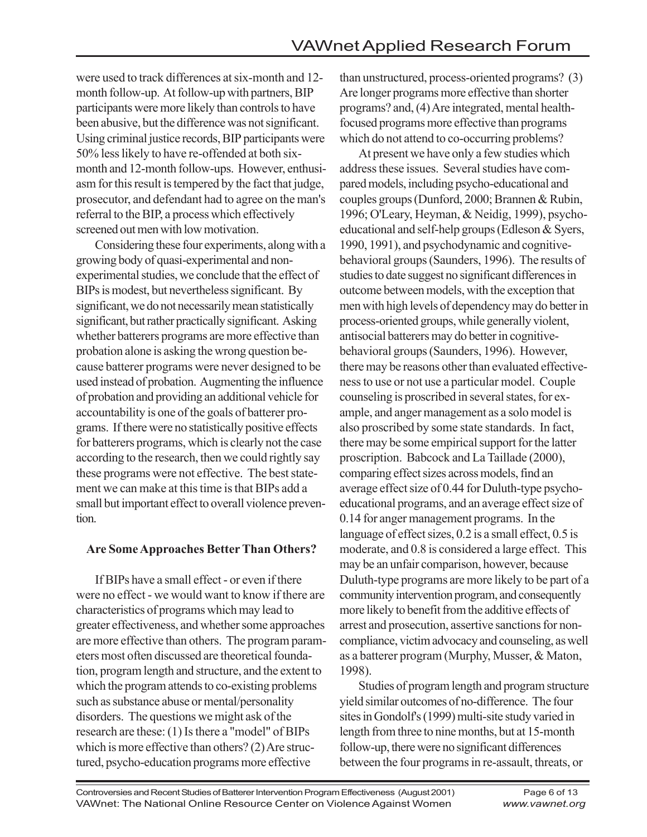were used to track differences at six-month and 12 month follow-up. At follow-up with partners, BIP participants were more likely than controls to have been abusive, but the difference was not significant. Using criminal justice records, BIP participants were 50% less likely to have re-offended at both sixmonth and 12-month follow-ups. However, enthusiasm for this result is tempered by the fact that judge, prosecutor, and defendant had to agree on the man's referral to the BIP, a process which effectively screened out men with low motivation.

Considering these four experiments, along with a growing body of quasi-experimental and nonexperimental studies, we conclude that the effect of BIPs is modest, but nevertheless significant. By significant, we do not necessarily mean statistically significant, but rather practically significant. Asking whether batterers programs are more effective than probation alone is asking the wrong question because batterer programs were never designed to be used instead of probation. Augmenting the influence of probation and providing an additional vehicle for accountability is one of the goals of batterer programs. If there were no statistically positive effects for batterers programs, which is clearly not the case according to the research, then we could rightly say these programs were not effective. The best statement we can make at this time is that BIPs add a small but important effect to overall violence prevention.

#### **Are Some Approaches Better Than Others?**

If BIPs have a small effect - or even if there were no effect - we would want to know if there are characteristics of programs which may lead to greater effectiveness, and whether some approaches are more effective than others. The program parameters most often discussed are theoretical foundation, program length and structure, and the extent to which the program attends to co-existing problems such as substance abuse or mental/personality disorders. The questions we might ask of the research are these: (1) Is there a "model" of BIPs which is more effective than others? (2) Are structured, psycho-education programs more effective

than unstructured, process-oriented programs? (3) Are longer programs more effective than shorter programs? and, (4) Are integrated, mental healthfocused programs more effective than programs which do not attend to co-occurring problems?

At present we have only a few studies which address these issues. Several studies have compared models, including psycho-educational and couples groups (Dunford, 2000; Brannen & Rubin, 1996; O'Leary, Heyman, & Neidig, 1999), psychoeducational and self-help groups (Edleson & Syers, 1990, 1991), and psychodynamic and cognitivebehavioral groups (Saunders, 1996). The results of studies to date suggest no significant differences in outcome between models, with the exception that men with high levels of dependency may do better in process-oriented groups, while generally violent, antisocial batterers may do better in cognitivebehavioral groups (Saunders, 1996). However, there may be reasons other than evaluated effectiveness to use or not use a particular model. Couple counseling is proscribed in several states, for example, and anger management as a solo model is also proscribed by some state standards. In fact, there may be some empirical support for the latter proscription. Babcock and La Taillade (2000), comparing effect sizes across models, find an average effect size of 0.44 for Duluth-type psychoeducational programs, and an average effect size of 0.14 for anger management programs. In the language of effect sizes, 0.2 is a small effect, 0.5 is moderate, and 0.8 is considered a large effect. This may be an unfair comparison, however, because Duluth-type programs are more likely to be part of a community intervention program, and consequently more likely to benefit from the additive effects of arrest and prosecution, assertive sanctions for noncompliance, victim advocacy and counseling, as well as a batterer program (Murphy, Musser, & Maton, 1998).

Studies of program length and program structure yield similar outcomes of no-difference. The four sites in Gondolf's (1999) multi-site study varied in length from three to nine months, but at 15-month follow-up, there were no significant differences between the four programs in re-assault, threats, or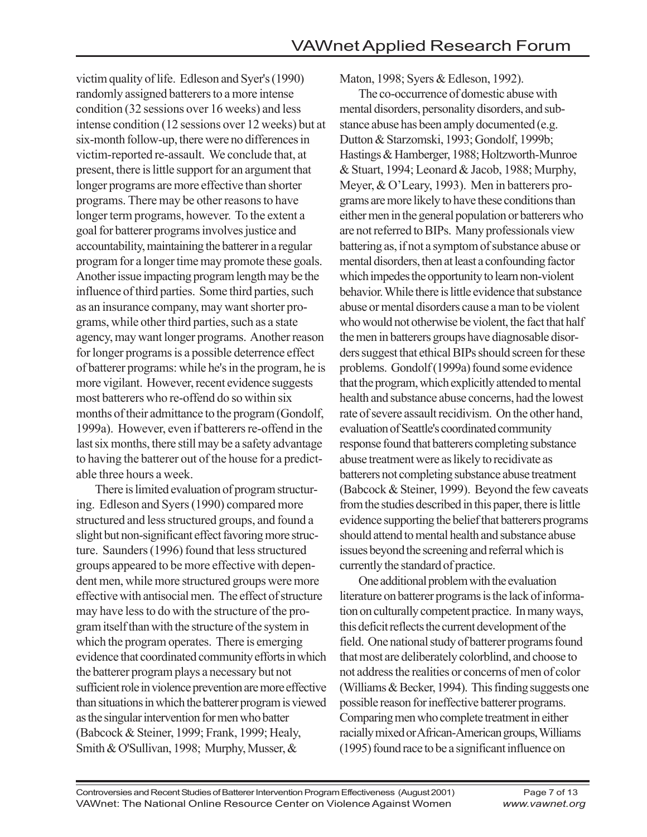victim quality of life. Edleson and Syer's (1990) randomly assigned batterers to a more intense condition (32 sessions over 16 weeks) and less intense condition (12 sessions over 12 weeks) but at six-month follow-up, there were no differences in victim-reported re-assault. We conclude that, at present, there is little support for an argument that longer programs are more effective than shorter programs. There may be other reasons to have longer term programs, however. To the extent a goal for batterer programs involves justice and accountability, maintaining the batterer in a regular program for a longer time may promote these goals. Another issue impacting program length may be the influence of third parties. Some third parties, such as an insurance company, may want shorter programs, while other third parties, such as a state agency, may want longer programs. Another reason for longer programs is a possible deterrence effect of batterer programs: while he's in the program, he is more vigilant. However, recent evidence suggests most batterers who re-offend do so within six months of their admittance to the program (Gondolf, 1999a). However, even if batterers re-offend in the last six months, there still may be a safety advantage to having the batterer out of the house for a predictable three hours a week.

There is limited evaluation of program structuring. Edleson and Syers (1990) compared more structured and less structured groups, and found a slight but non-significant effect favoring more structure. Saunders (1996) found that less structured groups appeared to be more effective with dependent men, while more structured groups were more effective with antisocial men. The effect of structure may have less to do with the structure of the program itself than with the structure of the system in which the program operates. There is emerging evidence that coordinated community efforts in which the batterer program plays a necessary but not sufficient role in violence prevention are more effective than situations in which the batterer program is viewed as the singular intervention for men who batter (Babcock & Steiner, 1999; Frank, 1999; Healy, Smith & O'Sullivan, 1998; Murphy, Musser, &

Maton, 1998; Syers & Edleson, 1992).

The co-occurrence of domestic abuse with mental disorders, personality disorders, and substance abuse has been amply documented (e.g. Dutton & Starzomski, 1993; Gondolf, 1999b; Hastings & Hamberger, 1988; Holtzworth-Munroe & Stuart, 1994; Leonard & Jacob, 1988; Murphy, Meyer, & O'Leary, 1993). Men in batterers programs are more likely to have these conditions than either men in the general population or batterers who are not referred to BIPs. Many professionals view battering as, if not a symptom of substance abuse or mental disorders, then at least a confounding factor which impedes the opportunity to learn non-violent behavior. While there is little evidence that substance abuse or mental disorders cause a man to be violent who would not otherwise be violent, the fact that half the men in batterers groups have diagnosable disorders suggest that ethical BIPs should screen for these problems. Gondolf (1999a) found some evidence that the program, which explicitly attended to mental health and substance abuse concerns, had the lowest rate of severe assault recidivism. On the other hand, evaluation of Seattle's coordinated community response found that batterers completing substance abuse treatment were as likely to recidivate as batterers not completing substance abuse treatment (Babcock & Steiner, 1999). Beyond the few caveats from the studies described in this paper, there is little evidence supporting the belief that batterers programs should attend to mental health and substance abuse issues beyond the screening and referral which is currently the standard of practice.

One additional problem with the evaluation literature on batterer programs is the lack of information on culturally competent practice. In many ways, this deficit reflects the current development of the field. One national study of batterer programs found that most are deliberately colorblind, and choose to not address the realities or concerns of men of color (Williams & Becker, 1994). This finding suggests one possible reason for ineffective batterer programs. Comparing men who complete treatment in either racially mixed or African-American groups, Williams (1995) found race to be a significant influence on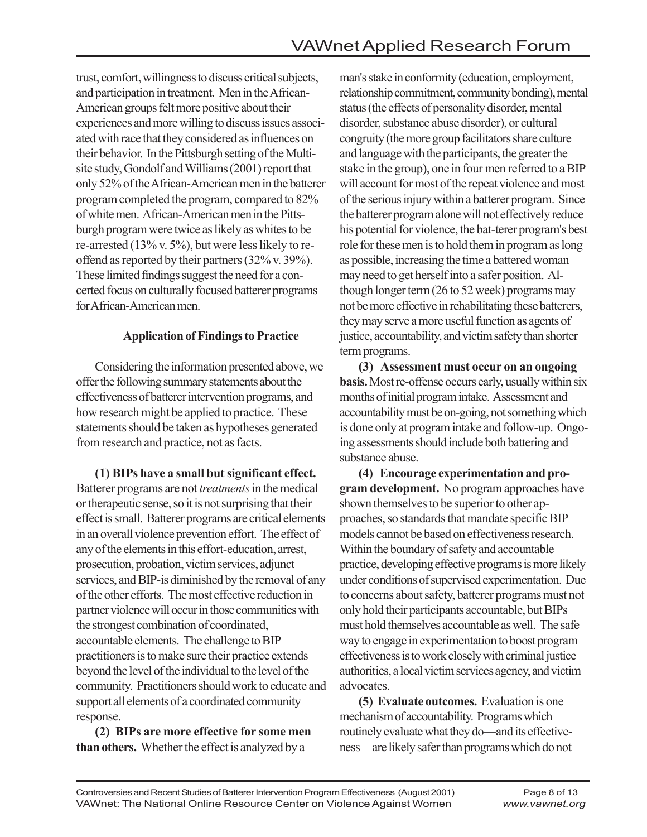trust, comfort, willingness to discuss critical subjects, and participation in treatment. Men in the African-American groups felt more positive about their experiences and more willing to discuss issues associated with race that they considered as influences on their behavior. In the Pittsburgh setting of the Multisite study, Gondolf and Williams (2001) report that only 52% of the African-American men in the batterer program completed the program, compared to 82% of white men. African-American men in the Pittsburgh program were twice as likely as whites to be re-arrested (13% v. 5%), but were less likely to reoffend as reported by their partners (32% v. 39%). These limited findings suggest the need for a concerted focus on culturally focused batterer programs for African-American men.

#### **Application of Findings to Practice**

Considering the information presented above, we offer the following summary statements about the effectiveness of batterer intervention programs, and how research might be applied to practice. These statements should be taken as hypotheses generated from research and practice, not as facts.

**(1) BIPs have a small but significant effect.** Batterer programs are not *treatments* in the medical or therapeutic sense, so it is not surprising that their effect is small. Batterer programs are critical elements in an overall violence prevention effort. The effect of any of the elements in this effort-education, arrest, prosecution, probation, victim services, adjunct services, and BIP-is diminished by the removal of any of the other efforts. The most effective reduction in partner violence will occur in those communities with the strongest combination of coordinated, accountable elements. The challenge to BIP practitioners is to make sure their practice extends beyond the level of the individual to the level of the community. Practitioners should work to educate and support all elements of a coordinated community response.

**(2) BIPs are more effective for some men than others.** Whether the effect is analyzed by a

man's stake in conformity (education, employment, relationship commitment, community bonding), mental status (the effects of personality disorder, mental disorder, substance abuse disorder), or cultural congruity (the more group facilitators share culture and language with the participants, the greater the stake in the group), one in four men referred to a BIP will account for most of the repeat violence and most of the serious injury within a batterer program. Since the batterer program alone will not effectively reduce his potential for violence, the bat-terer program's best role for these men is to hold them in program as long as possible, increasing the time a battered woman may need to get herself into a safer position. Although longer term (26 to 52 week) programs may not be more effective in rehabilitating these batterers, they may serve a more useful function as agents of justice, accountability, and victim safety than shorter term programs.

**(3) Assessment must occur on an ongoing basis.** Most re-offense occurs early, usually within six months of initial program intake. Assessment and accountability must be on-going, not something which is done only at program intake and follow-up. Ongoing assessments should include both battering and substance abuse.

**(4) Encourage experimentation and program development.** No program approaches have shown themselves to be superior to other approaches, so standards that mandate specific BIP models cannot be based on effectiveness research. Within the boundary of safety and accountable practice, developing effective programs is more likely under conditions of supervised experimentation. Due to concerns about safety, batterer programs must not only hold their participants accountable, but BIPs must hold themselves accountable as well. The safe way to engage in experimentation to boost program effectiveness is to work closely with criminal justice authorities, a local victim services agency, and victim advocates.

**(5) Evaluate outcomes.** Evaluation is one mechanism of accountability. Programs which routinely evaluate what they do—and its effectiveness—are likely safer than programs which do not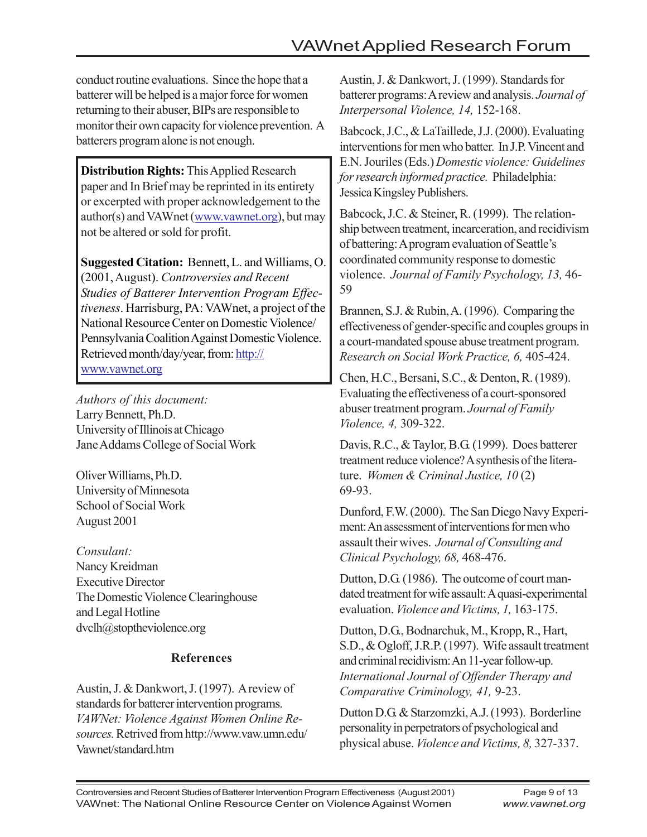conduct routine evaluations. Since the hope that a batterer will be helped is a major force for women returning to their abuser, BIPs are responsible to monitor their own capacity for violence prevention. A batterers program alone is not enough.

**Distribution Rights:** This Applied Research paper and In Brief may be reprinted in its entirety or excerpted with proper acknowledgement to the author(s) and VAWnet (www.vawnet.org), but may not be altered or sold for profit.

**Suggested Citation:** Bennett, L. and Williams, O. (2001, August). *Controversies and Recent Studies of Batterer Intervention Program Effectiveness*. Harrisburg, PA: VAWnet, a project of the National Resource Center on Domestic Violence/ Pennsylvania Coalition Against Domestic Violence. Retrieved month/day/year, from: http:// www.vawnet.org

*Authors of this document:* Larry Bennett, Ph.D. University of Illinois at Chicago Jane Addams College of Social Work

Oliver Williams, Ph.D. University of Minnesota School of Social Work August 2001

*Consulant:* Nancy Kreidman Executive Director The Domestic Violence Clearinghouse and Legal Hotline dvclh@stoptheviolence.org

## **References**

Austin, J. & Dankwort, J. (1997). A review of standards for batterer intervention programs. *VAWNet: Violence Against Women Online Resources.* Retrived from http://www.vaw.umn.edu/ Vawnet/standard.htm

Austin, J. & Dankwort, J. (1999). Standards for batterer programs: A review and analysis. *Journal of Interpersonal Violence, 14,* 152-168.

Babcock, J.C., & LaTaillede, J.J. (2000). Evaluating interventions for men who batter. In J.P. Vincent and E.N. Jouriles (Eds.) *Domestic violence: Guidelines for research informed practice.* Philadelphia: Jessica Kingsley Publishers.

Babcock, J.C. & Steiner, R. (1999). The relationship between treatment, incarceration, and recidivism of battering: A program evaluation of Seattle's coordinated community response to domestic violence. *Journal of Family Psychology, 13,* 46- 59

Brannen, S.J. & Rubin, A. (1996). Comparing the effectiveness of gender-specific and couples groups in a court-mandated spouse abuse treatment program. *Research on Social Work Practice, 6,* 405-424.

Chen, H.C., Bersani, S.C., & Denton, R. (1989). Evaluating the effectiveness of a court-sponsored abuser treatment program. *Journal of Family Violence, 4,* 309-322.

Davis, R.C., & Taylor, B.G. (1999). Does batterer treatment reduce violence? A synthesis of the literature. *Women & Criminal Justice, 10* (2) 69-93.

Dunford, F.W. (2000). The San Diego Navy Experiment: An assessment of interventions for men who assault their wives. *Journal of Consulting and Clinical Psychology, 68,* 468-476.

Dutton, D.G. (1986). The outcome of court mandated treatment for wife assault: A quasi-experimental evaluation. *Violence and Victims, 1,* 163-175.

Dutton, D.G., Bodnarchuk, M., Kropp, R., Hart, S.D., & Ogloff, J.R.P. (1997). Wife assault treatment and criminal recidivism: An 11-year follow-up. *International Journal of Offender Therapy and Comparative Criminology, 41,* 9-23.

Dutton D.G. & Starzomzki, A.J. (1993). Borderline personality in perpetrators of psychological and physical abuse. *Violence and Victims, 8,* 327-337.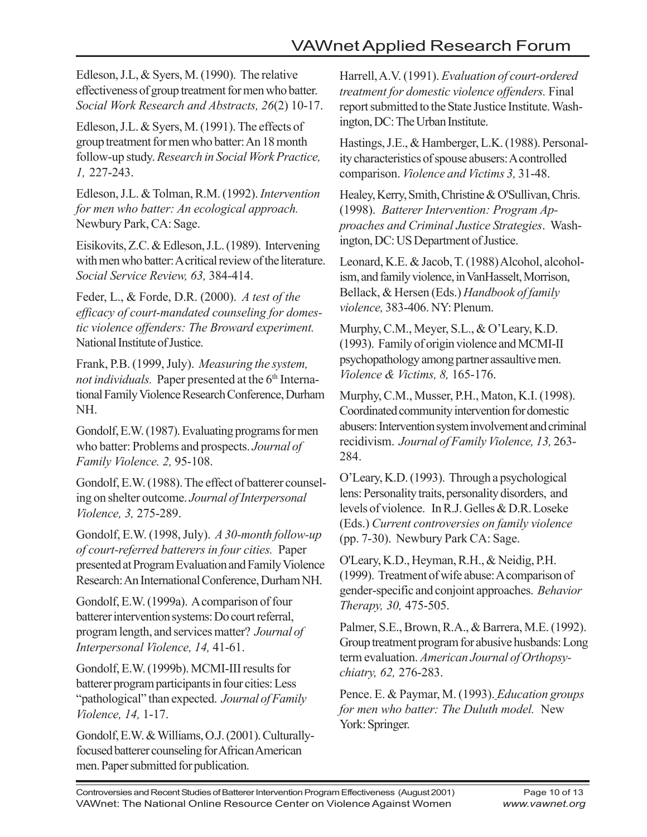Edleson, J.L, & Syers, M. (1990). The relative effectiveness of group treatment for men who batter. *Social Work Research and Abstracts, 26*(2) 10-17.

Edleson, J.L. & Syers, M. (1991). The effects of group treatment for men who batter: An 18 month follow-up study. *Research in Social Work Practice, 1,* 227-243.

Edleson, J.L. & Tolman, R.M. (1992). *Intervention for men who batter: An ecological approach.* Newbury Park, CA: Sage.

Eisikovits, Z.C. & Edleson, J.L. (1989). Intervening with men who batter: A critical review of the literature. *Social Service Review, 63,* 384-414.

Feder, L., & Forde, D.R. (2000). *A test of the efficacy of court-mandated counseling for domestic violence offenders: The Broward experiment.* National Institute of Justice.

Frank, P.B. (1999, July). *Measuring the system, not individuals.* Paper presented at the 6<sup>th</sup> International Family Violence Research Conference, Durham NH.

Gondolf, E.W. (1987). Evaluating programs for men who batter: Problems and prospects. *Journal of Family Violence. 2,* 95-108.

Gondolf, E.W. (1988). The effect of batterer counseling on shelter outcome. *Journal of Interpersonal Violence, 3,* 275-289.

Gondolf, E.W. (1998, July). *A 30-month follow-up of court-referred batterers in four cities.* Paper presented at Program Evaluation and Family Violence Research: An International Conference, Durham NH.

Gondolf, E.W. (1999a). A comparison of four batterer intervention systems: Do court referral, program length, and services matter? *Journal of Interpersonal Violence, 14,* 41-61.

Gondolf, E.W. (1999b). MCMI-III results for batterer program participants in four cities: Less "pathological" than expected. *Journal of Family Violence, 14,* 1-17.

Gondolf, E.W. & Williams, O.J. (2001). Culturallyfocused batterer counseling for African American men. Paper submitted for publication.

Harrell, A.V. (1991). *Evaluation of court-ordered treatment for domestic violence offenders.* Final report submitted to the State Justice Institute. Washington, DC: The Urban Institute.

Hastings, J.E., & Hamberger, L.K. (1988). Personality characteristics of spouse abusers: A controlled comparison. *Violence and Victims 3,* 31-48.

Healey, Kerry, Smith, Christine & O'Sullivan, Chris. (1998). *Batterer Intervention: Program Approaches and Criminal Justice Strategies*. Washington, DC: US Department of Justice.

Leonard, K.E. & Jacob, T. (1988) Alcohol, alcoholism, and family violence, in VanHasselt, Morrison, Bellack, & Hersen (Eds.) *Handbook of family violence,* 383-406. NY: Plenum.

Murphy, C.M., Meyer, S.L., & O'Leary, K.D. (1993). Family of origin violence and MCMI-II psychopathology among partner assaultive men. *Violence & Victims, 8,* 165-176.

Murphy, C.M., Musser, P.H., Maton, K.I. (1998). Coordinated community intervention for domestic abusers: Intervention system involvement and criminal recidivism. *Journal of Family Violence, 13,* 263- 284.

O'Leary, K.D. (1993). Through a psychological lens: Personality traits, personality disorders, and levels of violence. In R.J. Gelles & D.R. Loseke (Eds.) *Current controversies on family violence* (pp. 7-30). Newbury Park CA: Sage.

O'Leary, K.D., Heyman, R.H., & Neidig, P.H. (1999). Treatment of wife abuse: A comparison of gender-specific and conjoint approaches. *Behavior Therapy, 30,* 475-505.

Palmer, S.E., Brown, R.A., & Barrera, M.E. (1992). Group treatment program for abusive husbands: Long term evaluation. *American Journal of Orthopsychiatry, 62,* 276-283.

Pence. E. & Paymar, M. (1993). *Education groups for men who batter: The Duluth model.* New York: Springer.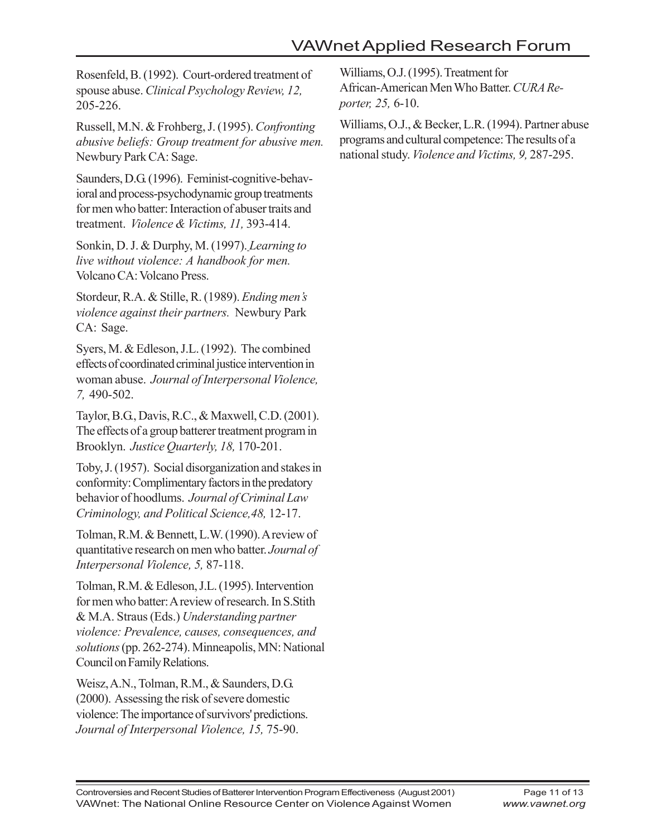Rosenfeld, B. (1992). Court-ordered treatment of spouse abuse. *Clinical Psychology Review, 12,* 205-226.

Russell, M.N. & Frohberg, J. (1995). *Confronting abusive beliefs: Group treatment for abusive men.* Newbury Park CA: Sage.

Saunders, D.G. (1996). Feminist-cognitive-behavioral and process-psychodynamic group treatments for men who batter: Interaction of abuser traits and treatment. *Violence & Victims, 11,* 393-414.

Sonkin, D. J. & Durphy, M. (1997). *Learning to live without violence: A handbook for men.* Volcano CA: Volcano Press.

Stordeur, R.A. & Stille, R. (1989). *Ending men's violence against their partners.* Newbury Park CA: Sage.

Syers, M. & Edleson, J.L. (1992). The combined effects of coordinated criminal justice intervention in woman abuse. *Journal of Interpersonal Violence, 7,* 490-502.

Taylor, B.G., Davis, R.C., & Maxwell, C.D. (2001). The effects of a group batterer treatment program in Brooklyn. *Justice Quarterly, 18,* 170-201.

Toby, J. (1957). Social disorganization and stakes in conformity: Complimentary factors in the predatory behavior of hoodlums. *Journal of Criminal Law Criminology, and Political Science,48,* 12-17.

Tolman, R.M. & Bennett, L.W. (1990). A review of quantitative research on men who batter. *Journal of Interpersonal Violence, 5,* 87-118.

Tolman, R.M. & Edleson, J.L. (1995). Intervention for men who batter: A review of research. In S.Stith & M.A. Straus (Eds.) *Understanding partner violence: Prevalence, causes, consequences, and solutions* (pp. 262-274). Minneapolis, MN: National Council on Family Relations.

Weisz, A.N., Tolman, R.M., & Saunders, D.G. (2000). Assessing the risk of severe domestic violence: The importance of survivors' predictions. *Journal of Interpersonal Violence, 15,* 75-90.

Williams, O.J. (1995). Treatment for African-American Men Who Batter. *CURA Reporter, 25,* 6-10.

Williams, O.J., & Becker, L.R. (1994). Partner abuse programs and cultural competence: The results of a national study. *Violence and Victims, 9,* 287-295.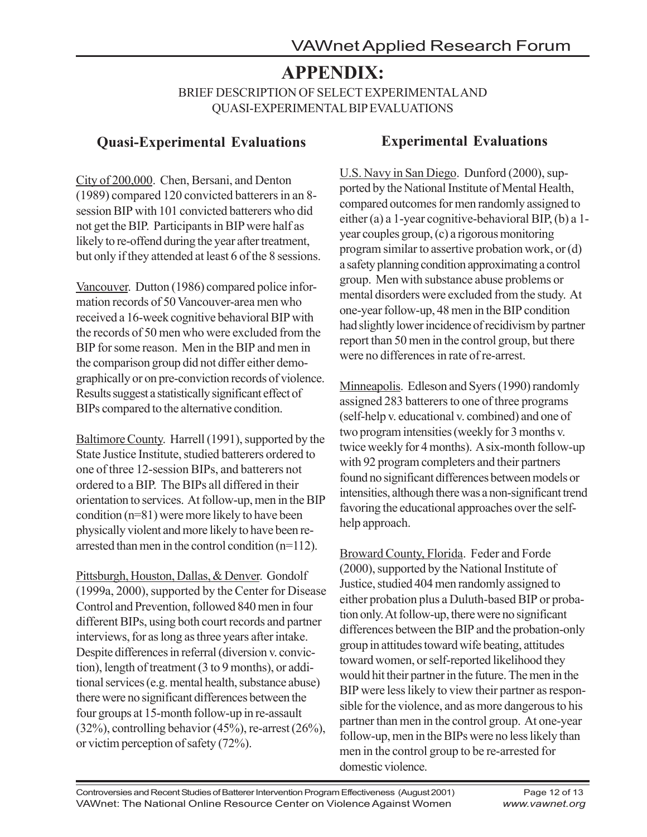# **APPENDIX:**

BRIEF DESCRIPTION OF SELECT EXPERIMENTAL AND QUASI-EXPERIMENTAL BIP EVALUATIONS

## **Quasi-Experimental Evaluations**

City of 200,000. Chen, Bersani, and Denton (1989) compared 120 convicted batterers in an 8 session BIP with 101 convicted batterers who did not get the BIP. Participants in BIP were half as likely to re-offend during the year after treatment, but only if they attended at least 6 of the 8 sessions.

Vancouver. Dutton (1986) compared police information records of 50 Vancouver-area men who received a 16-week cognitive behavioral BIP with the records of 50 men who were excluded from the BIP for some reason. Men in the BIP and men in the comparison group did not differ either demographically or on pre-conviction records of violence. Results suggest a statistically significant effect of BIPs compared to the alternative condition.

Baltimore County. Harrell (1991), supported by the State Justice Institute, studied batterers ordered to one of three 12-session BIPs, and batterers not ordered to a BIP. The BIPs all differed in their orientation to services. At follow-up, men in the BIP condition (n=81) were more likely to have been physically violent and more likely to have been rearrested than men in the control condition (n=112).

Pittsburgh, Houston, Dallas, & Denver. Gondolf (1999a, 2000), supported by the Center for Disease Control and Prevention, followed 840 men in four different BIPs, using both court records and partner interviews, for as long as three years after intake. Despite differences in referral (diversion v. conviction), length of treatment (3 to 9 months), or additional services (e.g. mental health, substance abuse) there were no significant differences between the four groups at 15-month follow-up in re-assault  $(32\%)$ , controlling behavior  $(45\%)$ , re-arrest  $(26\%)$ , or victim perception of safety (72%).

# **Experimental Evaluations**

U.S. Navy in San Diego. Dunford (2000), supported by the National Institute of Mental Health, compared outcomes for men randomly assigned to either (a) a 1-year cognitive-behavioral BIP, (b) a 1 year couples group, (c) a rigorous monitoring program similar to assertive probation work, or (d) a safety planning condition approximating a control group. Men with substance abuse problems or mental disorders were excluded from the study. At one-year follow-up, 48 men in the BIP condition had slightly lower incidence of recidivism by partner report than 50 men in the control group, but there were no differences in rate of re-arrest.

Minneapolis. Edleson and Syers (1990) randomly assigned 283 batterers to one of three programs (self-help v. educational v. combined) and one of two program intensities (weekly for 3 months v. twice weekly for 4 months). A six-month follow-up with 92 program completers and their partners found no significant differences between models or intensities, although there was a non-significant trend favoring the educational approaches over the selfhelp approach.

Broward County, Florida. Feder and Forde (2000), supported by the National Institute of Justice, studied 404 men randomly assigned to either probation plus a Duluth-based BIP or probation only. At follow-up, there were no significant differences between the BIP and the probation-only group in attitudes toward wife beating, attitudes toward women, or self-reported likelihood they would hit their partner in the future. The men in the BIP were less likely to view their partner as responsible for the violence, and as more dangerous to his partner than men in the control group. At one-year follow-up, men in the BIPs were no less likely than men in the control group to be re-arrested for domestic violence.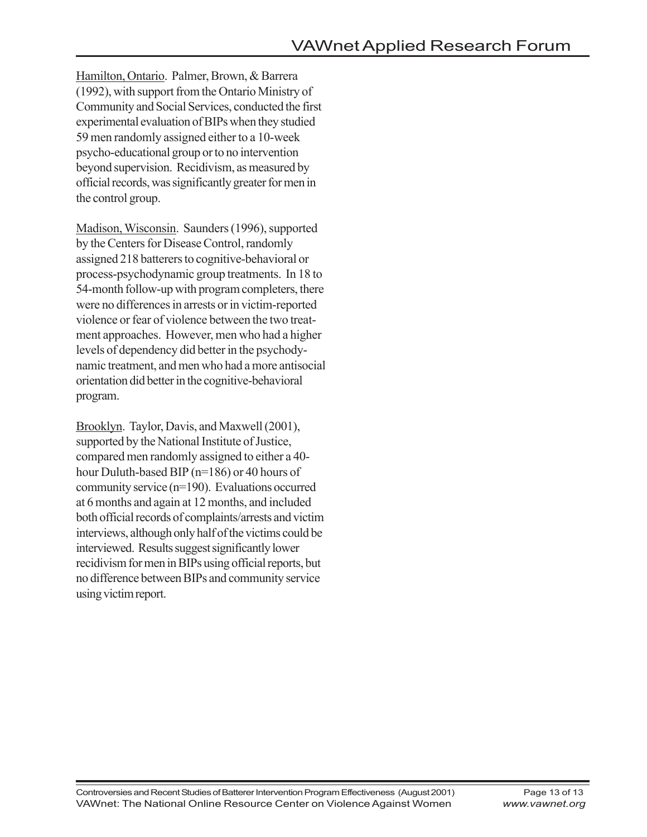Hamilton, Ontario. Palmer, Brown, & Barrera (1992), with support from the Ontario Ministry of Community and Social Services, conducted the first experimental evaluation of BIPs when they studied 59 men randomly assigned either to a 10-week psycho-educational group or to no intervention beyond supervision. Recidivism, as measured by official records, was significantly greater for men in the control group.

Madison, Wisconsin. Saunders (1996), supported by the Centers for Disease Control, randomly assigned 218 batterers to cognitive-behavioral or process-psychodynamic group treatments. In 18 to 54-month follow-up with program completers, there were no differences in arrests or in victim-reported violence or fear of violence between the two treatment approaches. However, men who had a higher levels of dependency did better in the psychodynamic treatment, and men who had a more antisocial orientation did better in the cognitive-behavioral program.

Brooklyn. Taylor, Davis, and Maxwell (2001), supported by the National Institute of Justice, compared men randomly assigned to either a 40 hour Duluth-based BIP (n=186) or 40 hours of community service (n=190). Evaluations occurred at 6 months and again at 12 months, and included both official records of complaints/arrests and victim interviews, although only half of the victims could be interviewed. Results suggest significantly lower recidivism for men in BIPs using official reports, but no difference between BIPs and community service using victim report.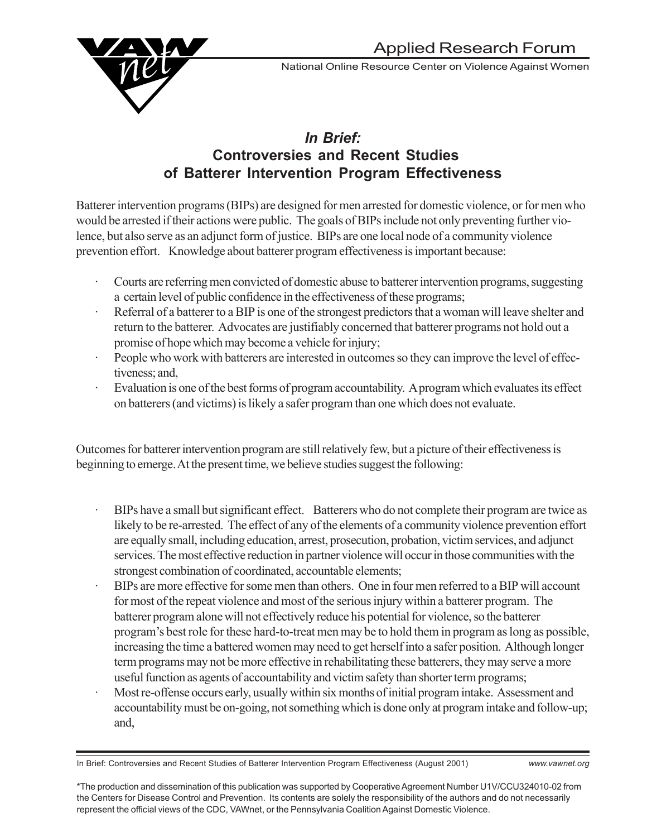

National Online Resource Center on Violence Against Women

## *In Brief:* **Controversies and Recent Studies of Batterer Intervention Program Effectiveness**

Batterer intervention programs (BIPs) are designed for men arrested for domestic violence, or for men who would be arrested if their actions were public. The goals of BIPs include not only preventing further violence, but also serve as an adjunct form of justice. BIPs are one local node of a community violence prevention effort. Knowledge about batterer program effectiveness is important because:

- · Courts are referring men convicted of domestic abuse to batterer intervention programs, suggesting a certain level of public confidence in the effectiveness of these programs;
- Referral of a batterer to a BIP is one of the strongest predictors that a woman will leave shelter and return to the batterer. Advocates are justifiably concerned that batterer programs not hold out a promise of hope which may become a vehicle for injury;
- People who work with batterers are interested in outcomes so they can improve the level of effectiveness; and,
- Evaluation is one of the best forms of program accountability. A program which evaluates its effect on batterers (and victims) is likely a safer program than one which does not evaluate.

Outcomes for batterer intervention program are still relatively few, but a picture of their effectiveness is beginning to emerge. At the present time, we believe studies suggest the following:

- BIPs have a small but significant effect. Batterers who do not complete their program are twice as likely to be re-arrested. The effect of any of the elements of a community violence prevention effort are equally small, including education, arrest, prosecution, probation, victim services, and adjunct services. The most effective reduction in partner violence will occur in those communities with the strongest combination of coordinated, accountable elements;
- · BIPs are more effective for some men than others. One in four men referred to a BIP will account for most of the repeat violence and most of the serious injury within a batterer program. The batterer program alone will not effectively reduce his potential for violence, so the batterer program's best role for these hard-to-treat men may be to hold them in program as long as possible, increasing the time a battered women may need to get herself into a safer position. Although longer term programs may not be more effective in rehabilitating these batterers, they may serve a more useful function as agents of accountability and victim safety than shorter term programs;
- Most re-offense occurs early, usually within six months of initial program intake. Assessment and accountability must be on-going, not something which is done only at program intake and follow-up; and,

In Brief: Controversies and Recent Studies of Batterer Intervention Program Effectiveness (August 2001) *www.vawnet.org*

<sup>\*</sup>The production and dissemination of this publication was supported by Cooperative Agreement Number U1V/CCU324010-02 from the Centers for Disease Control and Prevention. Its contents are solely the responsibility of the authors and do not necessarily represent the official views of the CDC, VAWnet, or the Pennsylvania Coalition Against Domestic Violence.